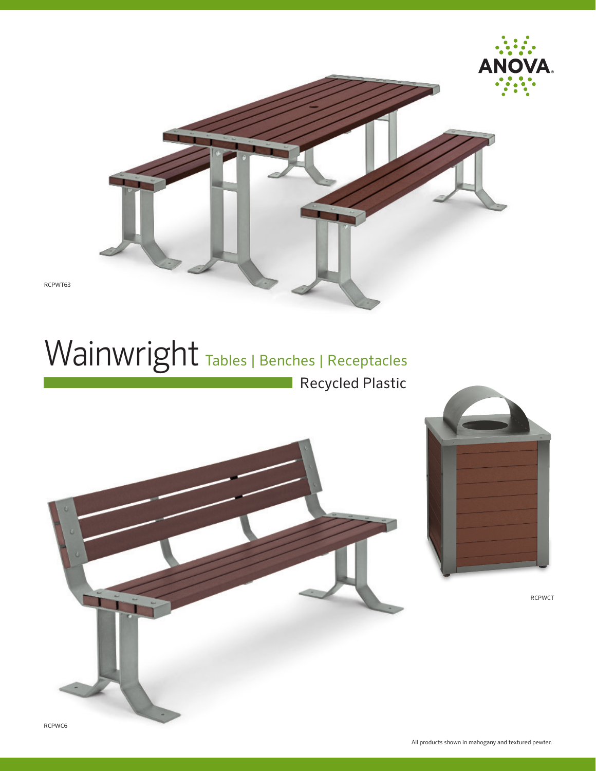

# Wainwright Tables | Benches | Receptacles

Recycled Plastic





RCPWCT